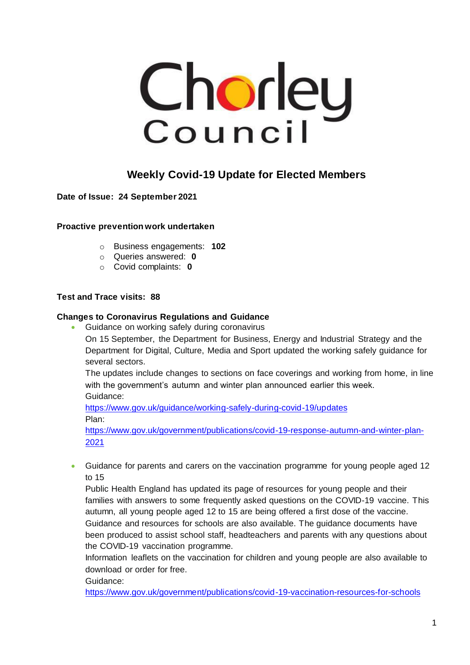

## **Weekly Covid-19 Update for Elected Members**

**Date of Issue: 24 September 2021**

**Proactive prevention work undertaken**

- o Business engagements: **102**
- o Queries answered: **0**
- o Covid complaints: **0**

#### **Test and Trace visits: 88**

#### **Changes to Coronavirus Regulations and Guidance**

• Guidance on working safely during coronavirus

On 15 September, the Department for Business, Energy and Industrial Strategy and the Department for Digital, Culture, Media and Sport updated the working safely guidance for several sectors.

The updates include changes to sections on face coverings and working from home, in line with the government's autumn and winter plan announced earlier this week. Guidance:

<https://www.gov.uk/guidance/working-safely-during-covid-19/updates> Plan:

[https://www.gov.uk/government/publications/covid-19-response-autumn-and-winter-plan-](https://www.gov.uk/government/publications/covid-19-response-autumn-and-winter-plan-2021)[2021](https://www.gov.uk/government/publications/covid-19-response-autumn-and-winter-plan-2021)

• Guidance for parents and carers on the vaccination programme for young people aged 12 to 15

Public Health England has updated its page of resources for young people and their families with answers to some frequently asked questions on the COVID-19 vaccine. This autumn, all young people aged 12 to 15 are being offered a first dose of the vaccine. Guidance and resources for schools are also available. The guidance documents have been produced to assist school staff, headteachers and parents with any questions about the COVID-19 vaccination programme.

Information leaflets on the vaccination for children and young people are also available to download or order for free.

Guidance:

<https://www.gov.uk/government/publications/covid-19-vaccination-resources-for-schools>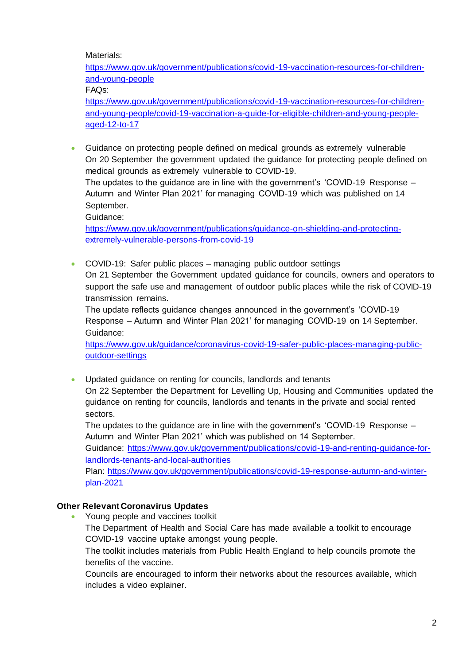Materials:

[https://www.gov.uk/government/publications/covid-19-vaccination-resources-for-children](https://www.gov.uk/government/publications/covid-19-vaccination-resources-for-children-and-young-people)[and-young-people](https://www.gov.uk/government/publications/covid-19-vaccination-resources-for-children-and-young-people)

FAQs:

[https://www.gov.uk/government/publications/covid-19-vaccination-resources-for-children](https://www.gov.uk/government/publications/covid-19-vaccination-resources-for-children-and-young-people/covid-19-vaccination-a-guide-for-eligible-children-and-young-people-aged-12-to-17)[and-young-people/covid-19-vaccination-a-guide-for-eligible-children-and-young-people](https://www.gov.uk/government/publications/covid-19-vaccination-resources-for-children-and-young-people/covid-19-vaccination-a-guide-for-eligible-children-and-young-people-aged-12-to-17)[aged-12-to-17](https://www.gov.uk/government/publications/covid-19-vaccination-resources-for-children-and-young-people/covid-19-vaccination-a-guide-for-eligible-children-and-young-people-aged-12-to-17)

• Guidance on protecting people defined on medical grounds as extremely vulnerable On 20 September the government updated the guidance for protecting people defined on medical grounds as extremely vulnerable to COVID-19.

The updates to the guidance are in line with the government's 'COVID-19 Response – Autumn and Winter Plan 2021' for managing COVID-19 which was published on 14 September.

Guidance:

[https://www.gov.uk/government/publications/guidance-on-shielding-and-protecting](https://www.gov.uk/government/publications/guidance-on-shielding-and-protecting-extremely-vulnerable-persons-from-covid-19)[extremely-vulnerable-persons-from-covid-19](https://www.gov.uk/government/publications/guidance-on-shielding-and-protecting-extremely-vulnerable-persons-from-covid-19)

• COVID-19: Safer public places – managing public outdoor settings On 21 September the Government updated guidance for councils, owners and operators to support the safe use and management of outdoor public places while the risk of COVID-19 transmission remains.

The update reflects guidance changes announced in the government's 'COVID-19 Response – Autumn and Winter Plan 2021' for managing COVID-19 on 14 September. Guidance:

[https://www.gov.uk/guidance/coronavirus-covid-19-safer-public-places-managing-public](https://www.gov.uk/guidance/coronavirus-covid-19-safer-public-places-managing-public-outdoor-settings)[outdoor-settings](https://www.gov.uk/guidance/coronavirus-covid-19-safer-public-places-managing-public-outdoor-settings)

• Updated guidance on renting for councils, landlords and tenants On 22 September the Department for Levelling Up, Housing and Communities updated the guidance on renting for councils, landlords and tenants in the private and social rented sectors.

The updates to the guidance are in line with the government's 'COVID-19 Response – Autumn and Winter Plan 2021' which was published on 14 September.

Guidance: [https://www.gov.uk/government/publications/covid-19-and-renting-guidance-for](https://www.gov.uk/government/publications/covid-19-and-renting-guidance-for-landlords-tenants-and-local-authorities)[landlords-tenants-and-local-authorities](https://www.gov.uk/government/publications/covid-19-and-renting-guidance-for-landlords-tenants-and-local-authorities)

Plan: [https://www.gov.uk/government/publications/covid-19-response-autumn-and-winter](https://www.gov.uk/government/publications/covid-19-response-autumn-and-winter-plan-2021)[plan-2021](https://www.gov.uk/government/publications/covid-19-response-autumn-and-winter-plan-2021)

## **Other Relevant Coronavirus Updates**

includes a video explainer.

• Young people and vaccines toolkit The Department of Health and Social Care has made available a toolkit to encourage COVID-19 vaccine uptake amongst young people. The toolkit includes materials from Public Health England to help councils promote the benefits of the vaccine. Councils are encouraged to inform their networks about the resources available, which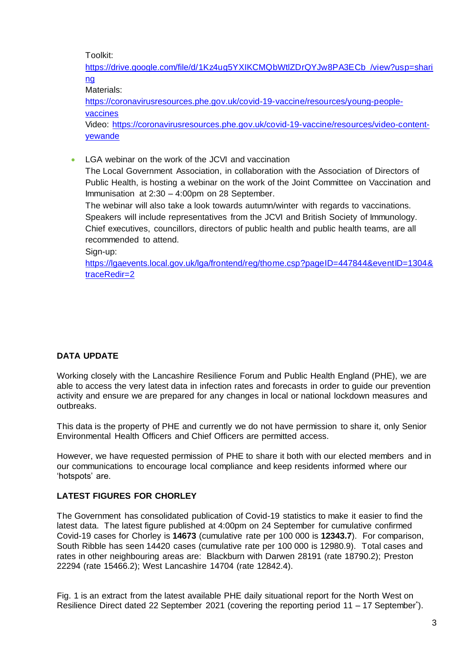Toolkit:

[https://drive.google.com/file/d/1Kz4ug5YXIKCMQbWtlZDrQYJw8PA3ECb\\_/view?usp=shari](https://drive.google.com/file/d/1Kz4ug5YXIKCMQbWtlZDrQYJw8PA3ECb_/view?usp=sharing) [ng](https://drive.google.com/file/d/1Kz4ug5YXIKCMQbWtlZDrQYJw8PA3ECb_/view?usp=sharing)

Materials:

[https://coronavirusresources.phe.gov.uk/covid-19-vaccine/resources/young-people](https://coronavirusresources.phe.gov.uk/covid-19-vaccine/resources/young-people-vaccines)[vaccines](https://coronavirusresources.phe.gov.uk/covid-19-vaccine/resources/young-people-vaccines)

Video: [https://coronavirusresources.phe.gov.uk/covid-19-vaccine/resources/video-content](https://coronavirusresources.phe.gov.uk/covid-19-vaccine/resources/video-content-yewande)[yewande](https://coronavirusresources.phe.gov.uk/covid-19-vaccine/resources/video-content-yewande)

• LGA webinar on the work of the JCVI and vaccination The Local Government Association, in collaboration with the Association of Directors of Public Health, is hosting a webinar on the work of the Joint Committee on Vaccination and Immunisation at 2:30 – 4:00pm on 28 September. The webinar will also take a look towards autumn/winter with regards to vaccinations. Speakers will include representatives from the JCVI and British Society of Immunology. Chief executives, councillors, directors of public health and public health teams, are all recommended to attend.

Sign-up:

[https://lgaevents.local.gov.uk/lga/frontend/reg/thome.csp?pageID=447844&eventID=1304&](https://lgaevents.local.gov.uk/lga/frontend/reg/thome.csp?pageID=447844&eventID=1304&traceRedir=2) [traceRedir=2](https://lgaevents.local.gov.uk/lga/frontend/reg/thome.csp?pageID=447844&eventID=1304&traceRedir=2)

## **DATA UPDATE**

Working closely with the Lancashire Resilience Forum and Public Health England (PHE), we are able to access the very latest data in infection rates and forecasts in order to guide our prevention activity and ensure we are prepared for any changes in local or national lockdown measures and outbreaks.

This data is the property of PHE and currently we do not have permission to share it, only Senior Environmental Health Officers and Chief Officers are permitted access.

However, we have requested permission of PHE to share it both with our elected members and in our communications to encourage local compliance and keep residents informed where our 'hotspots' are.

#### **LATEST FIGURES FOR CHORLEY**

The Government has consolidated publication of Covid-19 statistics to make it easier to find the latest data. The latest figure published at 4:00pm on 24 September for cumulative confirmed Covid-19 cases for Chorley is **14673** (cumulative rate per 100 000 is **12343.7**). For comparison, South Ribble has seen 14420 cases (cumulative rate per 100 000 is 12980.9). Total cases and rates in other neighbouring areas are: Blackburn with Darwen 28191 (rate 18790.2); Preston 22294 (rate 15466.2); West Lancashire 14704 (rate 12842.4).

Fig. 1 is an extract from the latest available PHE daily situational report for the North West on Resilience Direct dated 22 September 2021 (covering the reporting period 11 - 17 September<sup>\*</sup>).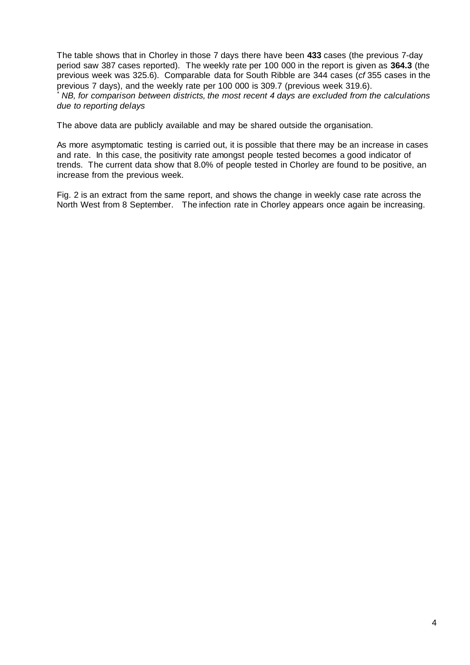The table shows that in Chorley in those 7 days there have been **433** cases (the previous 7-day period saw 387 cases reported). The weekly rate per 100 000 in the report is given as **364.3** (the previous week was 325.6). Comparable data for South Ribble are 344 cases (*cf* 355 cases in the previous 7 days), and the weekly rate per 100 000 is 309.7 (previous week 319.6).

*\* NB, for comparison between districts, the most recent 4 days are excluded from the calculations due to reporting delays*

The above data are publicly available and may be shared outside the organisation.

As more asymptomatic testing is carried out, it is possible that there may be an increase in cases and rate. In this case, the positivity rate amongst people tested becomes a good indicator of trends. The current data show that 8.0% of people tested in Chorley are found to be positive, an increase from the previous week.

Fig. 2 is an extract from the same report, and shows the change in weekly case rate across the North West from 8 September. The infection rate in Chorley appears once again be increasing.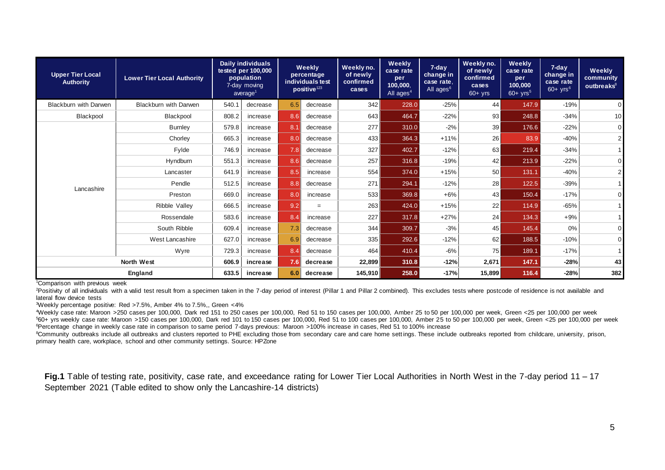| <b>Upper Tier Local</b><br><b>Authority</b> | <b>Lower Tier Local Authority</b> | <b>Daily individuals</b><br>tested per 100,000<br>population<br>7-day moving<br>average <sup>1</sup> |          | Weekly<br>percentage<br>individuals test<br>positive <sup>123</sup> |          | Weekly no.<br>of newly<br>confirmed<br>cases | Weekly<br>case rate<br>per<br>100,000,<br>All ages <sup>4</sup> | 7-day<br>change in<br>case rate.<br>All ages <sup>6</sup> | Weekly no.<br>of newly<br>confirmed<br>cases<br>$60 + yrs$ | Weekly<br>case rate<br>per<br>100,000<br>$60+$ yrs <sup>5</sup> | 7-day<br>change in<br>case rate<br>$60+$ yrs <sup>6</sup> | <b>Weekly</b><br>community<br>outbreaks $8$ |
|---------------------------------------------|-----------------------------------|------------------------------------------------------------------------------------------------------|----------|---------------------------------------------------------------------|----------|----------------------------------------------|-----------------------------------------------------------------|-----------------------------------------------------------|------------------------------------------------------------|-----------------------------------------------------------------|-----------------------------------------------------------|---------------------------------------------|
| <b>Blackburn with Darwen</b>                | <b>Blackburn with Darwen</b>      | 540.1                                                                                                | decrease | 6.5                                                                 | decrease | 342                                          | 228.0                                                           | $-25%$                                                    | 44                                                         | 147.9                                                           | $-19%$                                                    | $\overline{0}$                              |
| Blackpool                                   | Blackpool                         | 808.2                                                                                                | increase | 8.6                                                                 | decrease | 643                                          | 464.7                                                           | $-22%$                                                    | 93                                                         | 248.8                                                           | $-34%$                                                    | 10                                          |
| Lancashire                                  | <b>Burnley</b>                    | 579.8                                                                                                | increase | 8.1                                                                 | decrease | 277                                          | 310.0                                                           | $-2%$                                                     | 39                                                         | 176.6                                                           | $-22%$                                                    | $\overline{0}$                              |
|                                             | Chorley                           | 665.3                                                                                                | increase | 8.0                                                                 | decrease | 433                                          | 364.3                                                           | $+11%$                                                    | 26                                                         | 83.9                                                            | $-40%$                                                    | $\overline{2}$                              |
|                                             | Fylde                             | 746.9                                                                                                | increase | 7.8                                                                 | decrease | 327                                          | 402.7                                                           | $-12%$                                                    | 63                                                         | 219.4                                                           | $-34%$                                                    |                                             |
|                                             | Hyndburn                          | 551.3                                                                                                | increase | 8.6                                                                 | decrease | 257                                          | 316.8                                                           | $-19%$                                                    | 42                                                         | 213.9                                                           | $-22%$                                                    | $\overline{0}$                              |
|                                             | Lancaster                         | 641.9                                                                                                | increase | 8.5                                                                 | increase | 554                                          | 374.0                                                           | $+15%$                                                    | 50                                                         | 131.1                                                           | $-40%$                                                    | $\overline{2}$                              |
|                                             | Pendle                            | 512.5                                                                                                | increase | 8.8                                                                 | decrease | 271                                          | 294.1                                                           | $-12%$                                                    | 28                                                         | 122.5                                                           | $-39%$                                                    |                                             |
|                                             | Preston                           | 669.0                                                                                                | increase | 8.0                                                                 | increase | 533                                          | 369.8                                                           | $+6%$                                                     | 43                                                         | 150.4                                                           | $-17%$                                                    | $\mathbf 0$                                 |
|                                             | Ribble Valley                     | 666.5                                                                                                | increase | 9.2                                                                 | $=$      | 263                                          | 424.0                                                           | $+15%$                                                    | 22                                                         | 114.9                                                           | $-65%$                                                    |                                             |
|                                             | Rossendale                        | 583.6                                                                                                | increase | 8.4                                                                 | increase | 227                                          | 317.8                                                           | $+27%$                                                    | 24                                                         | 134.3                                                           | $+9%$                                                     |                                             |
|                                             | South Ribble                      | 609.4                                                                                                | increase | 7.3                                                                 | decrease | 344                                          | 309.7                                                           | $-3%$                                                     | 45                                                         | 145.4                                                           | 0%                                                        | $\overline{0}$                              |
|                                             | West Lancashire                   | 627.0                                                                                                | increase | 6.9                                                                 | decrease | 335                                          | 292.6                                                           | $-12%$                                                    | 62                                                         | 188.5                                                           | $-10%$                                                    | $\overline{0}$                              |
|                                             | Wyre                              | 729.3                                                                                                | increase | 8.4                                                                 | decrease | 464                                          | 410.4                                                           | $-6%$                                                     | 75                                                         | 189.1                                                           | $-17%$                                                    | $\overline{1}$                              |
| <b>North West</b>                           |                                   | 606.9                                                                                                | increase | 7.6                                                                 | decrease | 22,899                                       | 310.8                                                           | $-12%$                                                    | 2,671                                                      | 147.1                                                           | $-28%$                                                    | 43                                          |
| England                                     |                                   | 633.5                                                                                                | increase | 6.0                                                                 | decrease | 145,910                                      | 258.0                                                           | $-17%$                                                    | 15,899                                                     | 116.4                                                           | $-28%$                                                    | 382                                         |

<sup>1</sup>Comparison with previous week

<sup>2</sup>Positivity of all individuals with a valid test result from a specimen taken in the 7-day period of interest (Pillar 1 and Pillar 2 combined). This excludes tests where postcode of residence is not available and lateral flow device tests

<sup>3</sup>Weekly percentage positive: Red >7.5%, Amber 4% to 7.5%,, Green <4%

<sup>4</sup>Weekly case rate: Maroon >250 cases per 100,000, Dark red 151 to 250 cases per 100,000, Red 51 to 150 cases per 100,000, Amber 25 to 50 per 100,000 per week, Green <25 per 100,000 per week <sup>5</sup>60+ yrs weekly case rate: Maroon >150 cases per 100,000, Dark red 101 to 150 cases per 100,000, Red 51 to 100 cases per 100,000, Amber 25 to 50 per 100,000 per week, Green <25 per 100,000 per week <sup>6</sup>Percentage change in weekly case rate in comparison to same period 7-days previous: Maroon >100% increase in cases, Red 51 to 100% increase

<sup>8</sup>Community outbreaks include all outbreaks and clusters reported to PHE excluding those from secondary care and care home settings. These include outbreaks reported from childcare, university, prison, primary health care, workplace, school and other community settings. Source: HPZone

**Fig.1** Table of testing rate, positivity, case rate, and exceedance rating for Lower Tier Local Authorities in North West in the 7-day period 11 – 17 September 2021 (Table edited to show only the Lancashire-14 districts)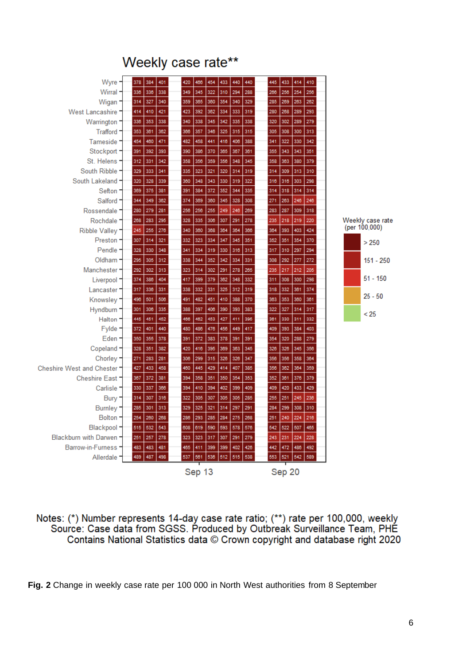# Weekly case rate\*\*



Notes: (\*) Number represents 14-day case rate ratio; (\*\*) rate per 100,000, weekly Source: Case data from SGSS. Produced by Outbreak Surveillance Team, PHE Contains National Statistics data © Crown copyright and database right 2020

**Fig. 2** Change in weekly case rate per 100 000 in North West authorities from 8 September